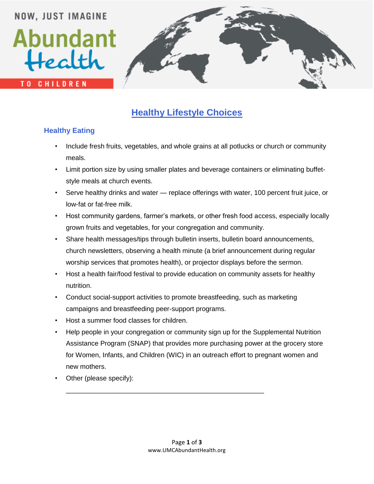## **NOW, JUST IMAGINE** Abundant Health **TO CHILDREN**

### **Healthy Lifestyle Choices**

#### **Healthy Eating**

- Include fresh fruits, vegetables, and whole grains at all potlucks or church or community meals.
- Limit portion size by using smaller plates and beverage containers or eliminating buffetstyle meals at church events.
- Serve healthy drinks and water replace offerings with water, 100 percent fruit juice, or low-fat or fat-free milk.
- Host community gardens, farmer's markets, or other fresh food access, especially locally grown fruits and vegetables, for your congregation and community.
- Share health messages/tips through bulletin inserts, bulletin board announcements, church newsletters, observing a health minute (a brief announcement during regular worship services that promotes health), or projector displays before the sermon.
- Host a health fair/food festival to provide education on community assets for healthy nutrition.
- Conduct social-support activities to promote breastfeeding, such as marketing campaigns and breastfeeding peer-support programs.

\_\_\_\_\_\_\_\_\_\_\_\_\_\_\_\_\_\_\_\_\_\_\_\_\_\_\_\_\_\_\_\_\_\_\_\_\_\_\_\_\_\_\_\_\_\_\_\_\_\_\_\_\_

- Host a summer food classes for children.
- Help people in your congregation or community sign up for the Supplemental Nutrition Assistance Program (SNAP) that provides more purchasing power at the grocery store for Women, Infants, and Children (WIC) in an outreach effort to pregnant women and new mothers.
- Other (please specify):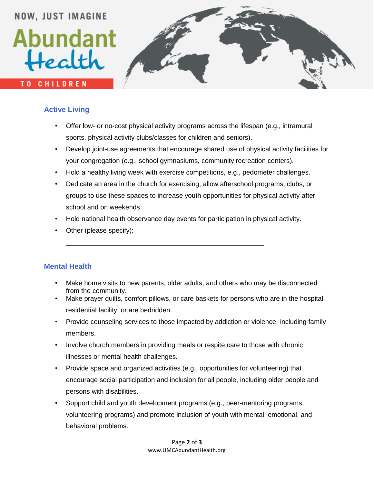# **NOW, JUST IMAGINE** Abundant Health **TO CHILDREN**

#### **Active Living**

- Offer low- or no-cost physical activity programs across the lifespan (e.g., intramural sports, physical activity clubs/classes for children and seniors).
- Develop joint-use agreements that encourage shared use of physical activity facilities for your congregation (e.g., school gymnasiums, community recreation centers).
- Hold a healthy living week with exercise competitions, e.g., pedometer challenges.
- Dedicate an area in the church for exercising; allow afterschool programs, clubs, or groups to use these spaces to increase youth opportunities for physical activity after school and on weekends.
- Hold national health observance day events for participation in physical activity.

\_\_\_\_\_\_\_\_\_\_\_\_\_\_\_\_\_\_\_\_\_\_\_\_\_\_\_\_\_\_\_\_\_\_\_\_\_\_\_\_\_\_\_\_\_\_\_\_\_\_\_\_\_

• Other (please specify):

#### **Mental Health**

- Make home visits to new parents, older adults, and others who may be disconnected from the community.
- Make prayer quilts, comfort pillows, or care baskets for persons who are in the hospital, residential facility, or are bedridden.
- Provide counseling services to those impacted by addiction or violence, including family members.
- Involve church members in providing meals or respite care to those with chronic illnesses or mental health challenges.
- Provide space and organized activities (e.g., opportunities for volunteering) that encourage social participation and inclusion for all people, including older people and persons with disabilities.
- Support child and youth development programs (e.g., peer-mentoring programs, volunteering programs) and promote inclusion of youth with mental, emotional, and behavioral problems.